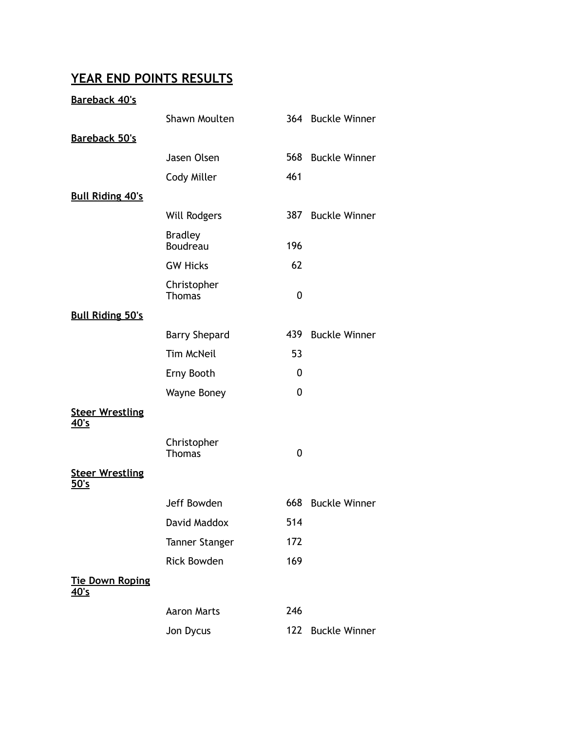# **YEAR END POINTS RESULTS**

### **Bareback 40's**

|                                       | Shawn Moulten                |             | 364 Buckle Winner    |
|---------------------------------------|------------------------------|-------------|----------------------|
| <b>Bareback 50's</b>                  |                              |             |                      |
|                                       | Jasen Olsen                  |             | 568 Buckle Winner    |
|                                       | Cody Miller                  | 461         |                      |
| <b>Bull Riding 40's</b>               |                              |             |                      |
|                                       | <b>Will Rodgers</b>          | 387         | <b>Buckle Winner</b> |
|                                       | <b>Bradley</b><br>Boudreau   | 196         |                      |
|                                       | <b>GW Hicks</b>              | 62          |                      |
|                                       | Christopher<br><b>Thomas</b> | $\mathbf 0$ |                      |
| <b>Bull Riding 50's</b>               |                              |             |                      |
|                                       | <b>Barry Shepard</b>         | 439         | <b>Buckle Winner</b> |
|                                       | <b>Tim McNeil</b>            | 53          |                      |
|                                       | Erny Booth                   | 0           |                      |
|                                       | <b>Wayne Boney</b>           | $\mathbf 0$ |                      |
| <b>Steer Wrestling</b><br><u>40's</u> |                              |             |                      |
|                                       | Christopher<br><b>Thomas</b> | $\mathbf 0$ |                      |
| <b>Steer Wrestling</b><br>50's        |                              |             |                      |
|                                       | Jeff Bowden                  | 668         | <b>Buckle Winner</b> |
|                                       | David Maddox                 | 514         |                      |
|                                       | <b>Tanner Stanger</b>        | 172         |                      |
|                                       | <b>Rick Bowden</b>           | 169         |                      |
| <b>Tie Down Roping</b><br><u>40's</u> |                              |             |                      |
|                                       | <b>Aaron Marts</b>           | 246         |                      |
|                                       | Jon Dycus                    | 122         | <b>Buckle Winner</b> |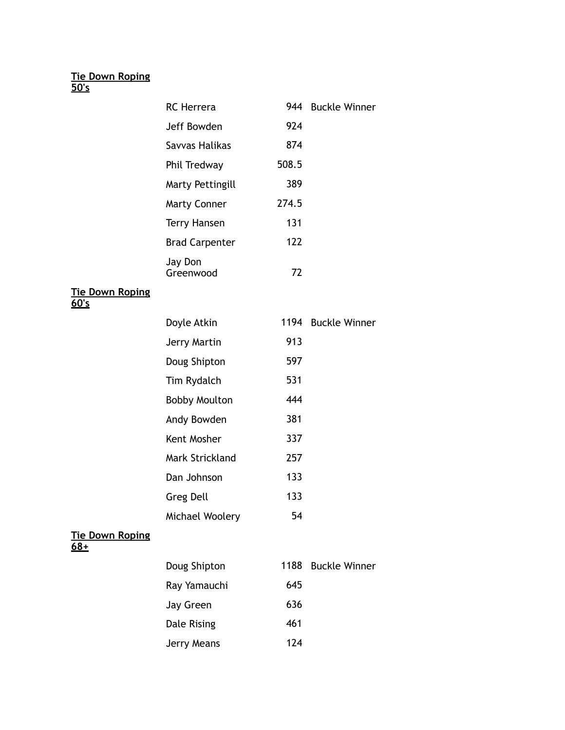#### **Tie Down Roping 50's**

**Tie Down Roping** 

**60's**

| <b>RC</b> Herrera     |       | 944 Buckle Winner  |
|-----------------------|-------|--------------------|
| Jeff Bowden           | 924   |                    |
| Savvas Halikas        | 874   |                    |
| Phil Tredway          | 508.5 |                    |
| Marty Pettingill      | 389   |                    |
| <b>Marty Conner</b>   | 274.5 |                    |
| <b>Terry Hansen</b>   | 131   |                    |
| <b>Brad Carpenter</b> | 122   |                    |
| Jay Don<br>Greenwood  | 72    |                    |
|                       |       |                    |
|                       |       |                    |
| Doyle Atkin           |       | 1194 Buckle Winner |
| Jerry Martin          | 913   |                    |
| Doug Shipton          | 597   |                    |
| Tim Rydalch           | 531   |                    |
| <b>Bobby Moulton</b>  | 444   |                    |
| Andy Bowden           | 381   |                    |
| Kent Mosher           | 337   |                    |
| Mark Strickland       | 257   |                    |
| Dan Johnson           | 133   |                    |
| Greg Dell             | 133   |                    |

#### **Tie Down Roping 68+**

| Doug Shipton | 1188 | <b>Buckle Winner</b> |
|--------------|------|----------------------|
| Ray Yamauchi | 645  |                      |
| Jay Green    | 636  |                      |
| Dale Rising  | 461  |                      |
| Jerry Means  | 124  |                      |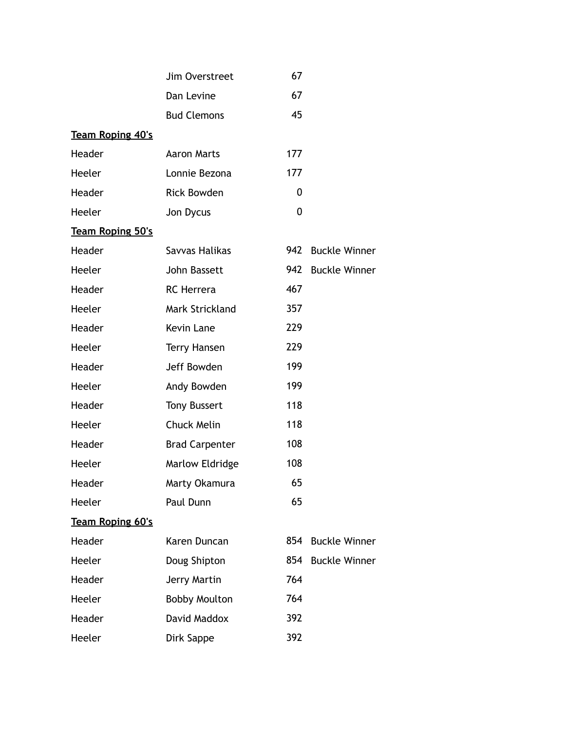|                         | Jim Overstreet        | 67  |                      |
|-------------------------|-----------------------|-----|----------------------|
|                         | Dan Levine            | 67  |                      |
|                         | <b>Bud Clemons</b>    | 45  |                      |
| <b>Team Roping 40's</b> |                       |     |                      |
| Header                  | <b>Aaron Marts</b>    | 177 |                      |
| Heeler                  | Lonnie Bezona         | 177 |                      |
| Header                  | <b>Rick Bowden</b>    | 0   |                      |
| Heeler                  | Jon Dycus             | 0   |                      |
| <b>Team Roping 50's</b> |                       |     |                      |
| Header                  | Savvas Halikas        | 942 | <b>Buckle Winner</b> |
| Heeler                  | John Bassett          | 942 | <b>Buckle Winner</b> |
| Header                  | <b>RC</b> Herrera     | 467 |                      |
| Heeler                  | Mark Strickland       | 357 |                      |
| Header                  | <b>Kevin Lane</b>     | 229 |                      |
| Heeler                  | <b>Terry Hansen</b>   | 229 |                      |
| Header                  | Jeff Bowden           | 199 |                      |
| Heeler                  | Andy Bowden           | 199 |                      |
| Header                  | <b>Tony Bussert</b>   | 118 |                      |
| Heeler                  | Chuck Melin           | 118 |                      |
| Header                  | <b>Brad Carpenter</b> | 108 |                      |
| Heeler                  | Marlow Eldridge       | 108 |                      |
| Header                  | Marty Okamura         | 65  |                      |
| Heeler                  | Paul Dunn             | 65  |                      |
| <b>Team Roping 60's</b> |                       |     |                      |
| Header                  | Karen Duncan          | 854 | <b>Buckle Winner</b> |
| Heeler                  | Doug Shipton          | 854 | <b>Buckle Winner</b> |
| Header                  | Jerry Martin          | 764 |                      |
| Heeler                  | <b>Bobby Moulton</b>  | 764 |                      |
| Header                  | David Maddox          | 392 |                      |
| Heeler                  | Dirk Sappe            | 392 |                      |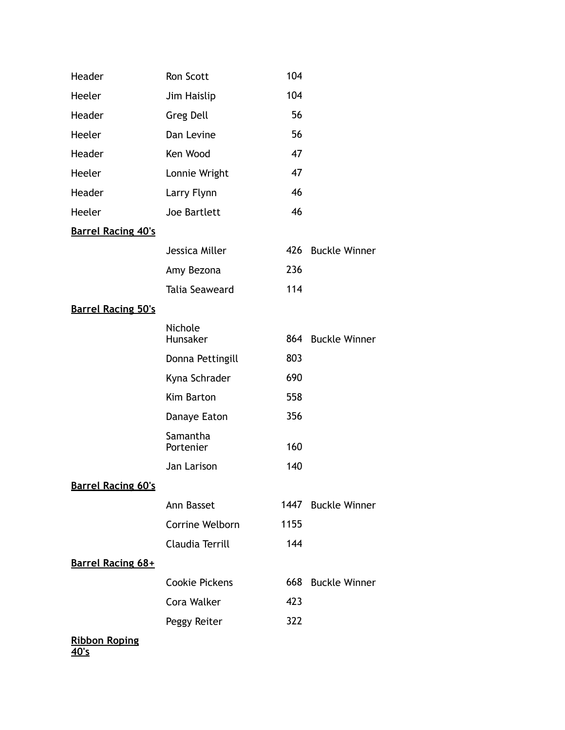| Header                              | Ron Scott             | 104  |                      |
|-------------------------------------|-----------------------|------|----------------------|
| Heeler                              | Jim Haislip           | 104  |                      |
| Header                              | <b>Greg Dell</b>      | 56   |                      |
| Heeler                              | Dan Levine            | 56   |                      |
| Header                              | Ken Wood              | 47   |                      |
| Heeler                              | Lonnie Wright         | 47   |                      |
| Header                              | Larry Flynn           | 46   |                      |
| Heeler                              | Joe Bartlett          | 46   |                      |
| <b>Barrel Racing 40's</b>           |                       |      |                      |
|                                     | Jessica Miller        |      | 426 Buckle Winner    |
|                                     | Amy Bezona            | 236  |                      |
|                                     | <b>Talia Seaweard</b> | 114  |                      |
| <b>Barrel Racing 50's</b>           |                       |      |                      |
|                                     | Nichole<br>Hunsaker   |      | 864 Buckle Winner    |
|                                     | Donna Pettingill      | 803  |                      |
|                                     | Kyna Schrader         | 690  |                      |
|                                     | Kim Barton            | 558  |                      |
|                                     | Danaye Eaton          | 356  |                      |
|                                     | Samantha<br>Portenier | 160  |                      |
|                                     | Jan Larison           | 140  |                      |
| <b>Barrel Racing 60's</b>           |                       |      |                      |
|                                     | Ann Basset            |      | 1447 Buckle Winner   |
|                                     | Corrine Welborn       | 1155 |                      |
|                                     | Claudia Terrill       | 144  |                      |
| Barrel Racing 68+                   |                       |      |                      |
|                                     | <b>Cookie Pickens</b> | 668  | <b>Buckle Winner</b> |
|                                     | Cora Walker           | 423  |                      |
|                                     | Peggy Reiter          | 322  |                      |
| <b>Ribbon Roping</b><br><u>40's</u> |                       |      |                      |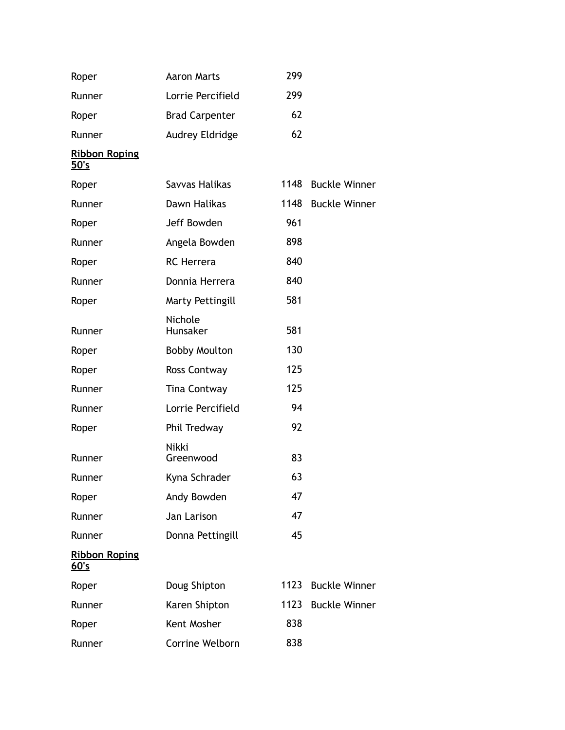| Roper                        | <b>Aaron Marts</b>    | 299  |                      |
|------------------------------|-----------------------|------|----------------------|
| Runner                       | Lorrie Percifield     | 299  |                      |
| Roper                        | <b>Brad Carpenter</b> | 62   |                      |
| Runner                       | Audrey Eldridge       | 62   |                      |
| <b>Ribbon Roping</b><br>50's |                       |      |                      |
| Roper                        | Savvas Halikas        | 1148 | <b>Buckle Winner</b> |
| Runner                       | Dawn Halikas          | 1148 | <b>Buckle Winner</b> |
| Roper                        | Jeff Bowden           | 961  |                      |
| Runner                       | Angela Bowden         | 898  |                      |
| Roper                        | <b>RC</b> Herrera     | 840  |                      |
| Runner                       | Donnia Herrera        | 840  |                      |
| Roper                        | Marty Pettingill      | 581  |                      |
| Runner                       | Nichole<br>Hunsaker   | 581  |                      |
| Roper                        | <b>Bobby Moulton</b>  | 130  |                      |
| Roper                        | Ross Contway          | 125  |                      |
| Runner                       | <b>Tina Contway</b>   | 125  |                      |
| Runner                       | Lorrie Percifield     | 94   |                      |
| Roper                        | Phil Tredway          | 92   |                      |
| Runner                       | Nikki<br>Greenwood    | 83   |                      |
| Runner                       | Kyna Schrader         | 63   |                      |
| Roper                        | Andy Bowden           | 47   |                      |
| Runner                       | Jan Larison           | 47   |                      |
| Runner                       | Donna Pettingill      | 45   |                      |
| <b>Ribbon Roping</b><br>60's |                       |      |                      |
| Roper                        | Doug Shipton          | 1123 | <b>Buckle Winner</b> |
| Runner                       | Karen Shipton         | 1123 | <b>Buckle Winner</b> |
| Roper                        | Kent Mosher           | 838  |                      |
| Runner                       | Corrine Welborn       | 838  |                      |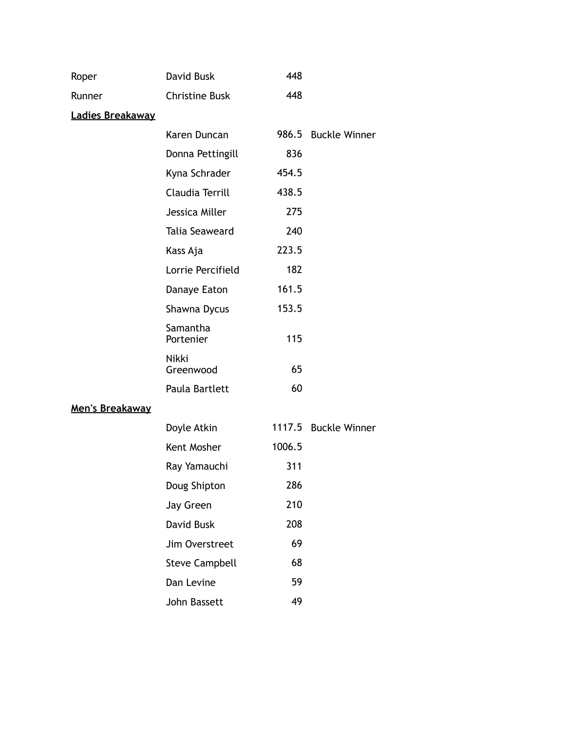| Roper            | David Busk            | 448    |                      |
|------------------|-----------------------|--------|----------------------|
| Runner           | <b>Christine Busk</b> | 448    |                      |
| Ladies Breakaway |                       |        |                      |
|                  | Karen Duncan          | 986.5  | <b>Buckle Winner</b> |
|                  | Donna Pettingill      | 836    |                      |
|                  | Kyna Schrader         | 454.5  |                      |
|                  | Claudia Terrill       | 438.5  |                      |
|                  | Jessica Miller        | 275    |                      |
|                  | Talia Seaweard        | 240    |                      |
|                  | Kass Aja              | 223.5  |                      |
|                  | Lorrie Percifield     | 182    |                      |
|                  | Danaye Eaton          | 161.5  |                      |
|                  | Shawna Dycus          | 153.5  |                      |
|                  | Samantha<br>Portenier | 115    |                      |
|                  | Nikki<br>Greenwood    | 65     |                      |
|                  | Paula Bartlett        | 60     |                      |
| Men's Breakaway  |                       |        |                      |
|                  | Doyle Atkin           |        | 1117.5 Buckle Winner |
|                  | Kent Mosher           | 1006.5 |                      |
|                  | Ray Yamauchi          | 311    |                      |
|                  | Doug Shipton          | 286    |                      |
|                  | Jay Green             | 210    |                      |
|                  | David Busk            | 208    |                      |
|                  | Jim Overstreet        | 69     |                      |
|                  | <b>Steve Campbell</b> | 68     |                      |
|                  | Dan Levine            | 59     |                      |
|                  | John Bassett          | 49     |                      |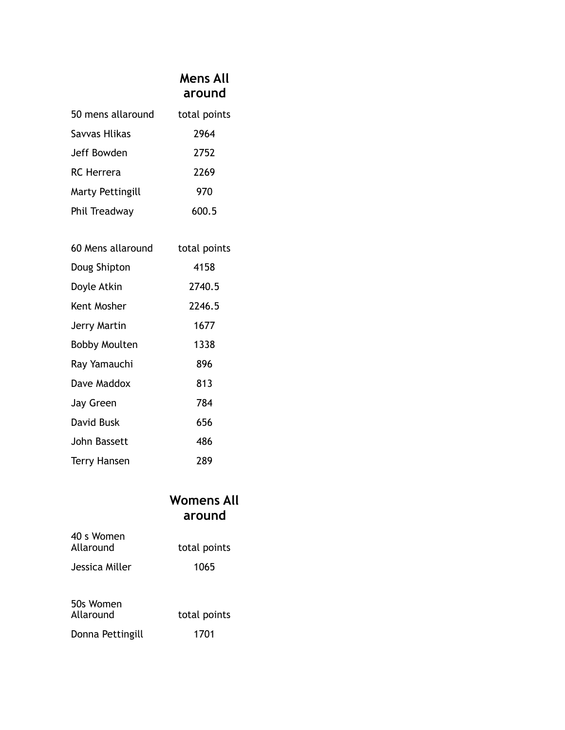### **Mens All around**

| 50 mens allaround | total points |
|-------------------|--------------|
| Savvas Hlikas     | 2964         |
| Jeff Bowden       | 2752         |
| <b>RC</b> Herrera | 2269         |
| Marty Pettingill  | 970          |
| Phil Treadway     | 600.5        |

| 60 Mens allaround    | total points |
|----------------------|--------------|
| Doug Shipton         | 4158         |
| Doyle Atkin          | 2740.5       |
| Kent Mosher          | 2246.5       |
| Jerry Martin         | 1677         |
| <b>Bobby Moulten</b> | 1338         |
| Ray Yamauchi         | 896          |
| Dave Maddox          | 813          |
| Jay Green            | 784          |
| David Busk           | 656          |
| John Bassett         | 486          |
| Terry Hansen         | 289          |

## **Womens All around**

| 40 s Women<br>Allaround | total points |
|-------------------------|--------------|
| Jessica Miller          | 1065         |
|                         |              |
| 50s Women<br>Allaround  | total points |
|                         |              |
| Donna Pettingill        | 1701         |